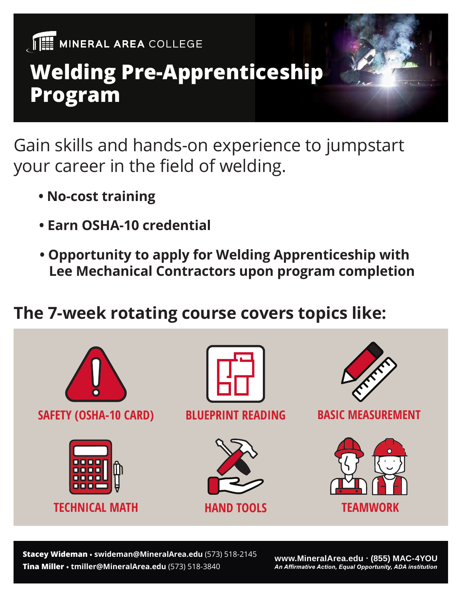

## **Welding Pre-Apprenticeship Program**

Gain skills and hands-on experience to jumpstart your career in the field of welding.

- **No-cost training**
- **Earn OSHA-10 credential**
- **Opportunity to apply for Welding Apprenticeship with Lee Mechanical Contractors upon program completion**

#### **The 7-week rotating course covers topics like:**



**Tina Miller • tmiller@MineralArea.edu** (573) 518-3840 **Stacey Wideman • swideman@MineralArea.edu** (573) 518-2145

**www.MineralArea.edu (855) MAC-4YOU**